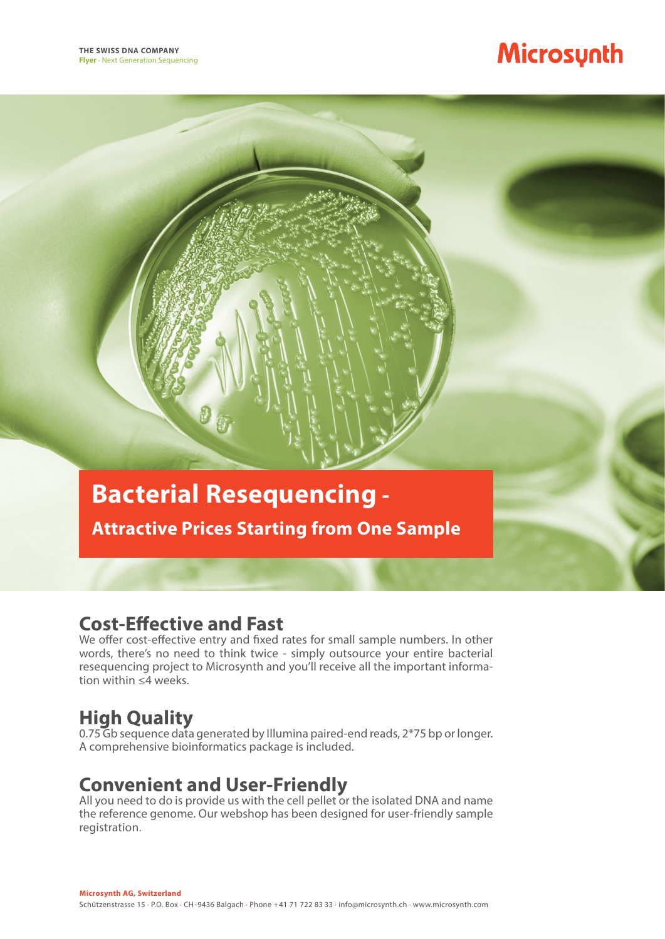# Microsynth

## **Bacterial Resequencing -**

**Attractive Prices Starting from One Sample**

### **Cost-Effective and Fast**

We offer cost-effective entry and fixed rates for small sample numbers. In other words, there's no need to think twice - simply outsource your entire bacterial resequencing project to Microsynth and you'll receive all the important information within ≤4 weeks.

## **High Quality**

0.75 Gb sequence data generated by Illumina paired-end reads, 2\*75 bp or longer. A comprehensive bioinformatics package is included.

## **Convenient and User-Friendly**

All you need to do is provide us with the cell pellet or the isolated DNA and name the reference genome. Our webshop has been designed for user-friendly sample registration.